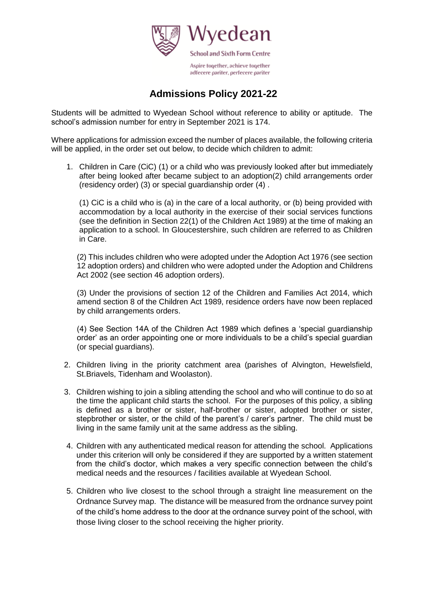

# **Admissions Policy 2021-22**

Students will be admitted to Wyedean School without reference to ability or aptitude. The school's admission number for entry in September 2021 is 174.

Where applications for admission exceed the number of places available, the following criteria will be applied, in the order set out below, to decide which children to admit:

1. Children in Care (CiC) (1) or a child who was previously looked after but immediately after being looked after became subject to an adoption(2) child arrangements order (residency order) (3) or special guardianship order (4) .

(1) CiC is a child who is (a) in the care of a local authority, or (b) being provided with accommodation by a local authority in the exercise of their social services functions (see the definition in Section 22(1) of the Children Act 1989) at the time of making an application to a school. In Gloucestershire, such children are referred to as Children in Care.

(2) This includes children who were adopted under the Adoption Act 1976 (see section 12 adoption orders) and children who were adopted under the Adoption and Childrens Act 2002 (see section 46 adoption orders).

(3) Under the provisions of section 12 of the Children and Families Act 2014, which amend section 8 of the Children Act 1989, residence orders have now been replaced by child arrangements orders.

(4) See Section 14A of the Children Act 1989 which defines a 'special guardianship order' as an order appointing one or more individuals to be a child's special guardian (or special guardians).

- 2. Children living in the priority catchment area (parishes of Alvington, Hewelsfield, St.Briavels, Tidenham and Woolaston).
- 3. Children wishing to join a sibling attending the school and who will continue to do so at the time the applicant child starts the school. For the purposes of this policy, a sibling is defined as a brother or sister, half-brother or sister, adopted brother or sister, stepbrother or sister, or the child of the parent's / carer's partner. The child must be living in the same family unit at the same address as the sibling.
- 4. Children with any authenticated medical reason for attending the school. Applications under this criterion will only be considered if they are supported by a written statement from the child's doctor, which makes a very specific connection between the child's medical needs and the resources / facilities available at Wyedean School.
- 5. Children who live closest to the school through a straight line measurement on the Ordnance Survey map. The distance will be measured from the ordnance survey point of the child's home address to the door at the ordnance survey point of the school, with those living closer to the school receiving the higher priority.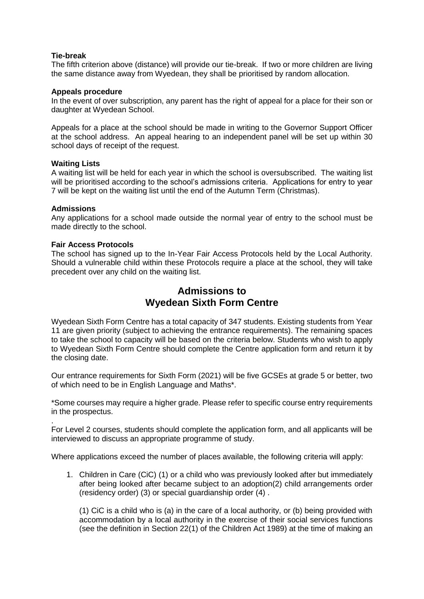## **Tie-break**

The fifth criterion above (distance) will provide our tie-break. If two or more children are living the same distance away from Wyedean, they shall be prioritised by random allocation.

#### **Appeals procedure**

In the event of over subscription, any parent has the right of appeal for a place for their son or daughter at Wyedean School.

Appeals for a place at the school should be made in writing to the Governor Support Officer at the school address. An appeal hearing to an independent panel will be set up within 30 school days of receipt of the request.

## **Waiting Lists**

A waiting list will be held for each year in which the school is oversubscribed. The waiting list will be prioritised according to the school's admissions criteria. Applications for entry to year 7 will be kept on the waiting list until the end of the Autumn Term (Christmas).

## **Admissions**

.

Any applications for a school made outside the normal year of entry to the school must be made directly to the school.

## **Fair Access Protocols**

The school has signed up to the In-Year Fair Access Protocols held by the Local Authority. Should a vulnerable child within these Protocols require a place at the school, they will take precedent over any child on the waiting list.

# **Admissions to Wyedean Sixth Form Centre**

Wyedean Sixth Form Centre has a total capacity of 347 students. Existing students from Year 11 are given priority (subject to achieving the entrance requirements). The remaining spaces to take the school to capacity will be based on the criteria below. Students who wish to apply to Wyedean Sixth Form Centre should complete the Centre application form and return it by the closing date.

Our entrance requirements for Sixth Form (2021) will be five GCSEs at grade 5 or better, two of which need to be in English Language and Maths\*.

\*Some courses may require a higher grade. Please refer to specific course entry requirements in the prospectus.

For Level 2 courses, students should complete the application form, and all applicants will be interviewed to discuss an appropriate programme of study.

Where applications exceed the number of places available, the following criteria will apply:

1. Children in Care (CiC) (1) or a child who was previously looked after but immediately after being looked after became subject to an adoption(2) child arrangements order (residency order) (3) or special guardianship order (4) .

(1) CiC is a child who is (a) in the care of a local authority, or (b) being provided with accommodation by a local authority in the exercise of their social services functions (see the definition in Section 22(1) of the Children Act 1989) at the time of making an